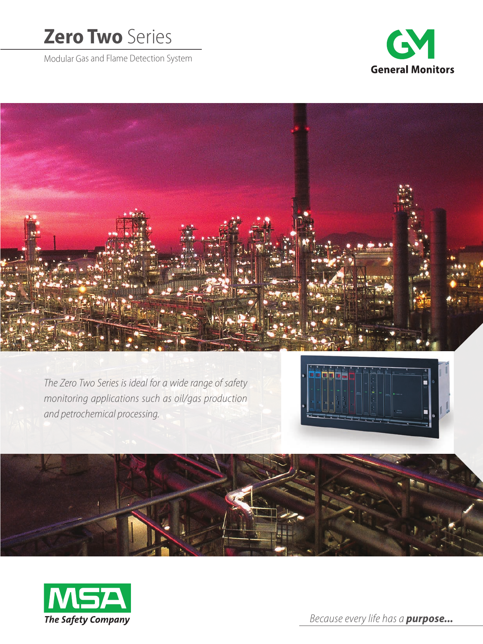# **Zero Two** Series

Modular Gas and Flame Detection System





The Zero Two Series is ideal for a wide range of safety monitoring applications such as oil/gas production and petrochemical processing.







Because every life has a *purpose...*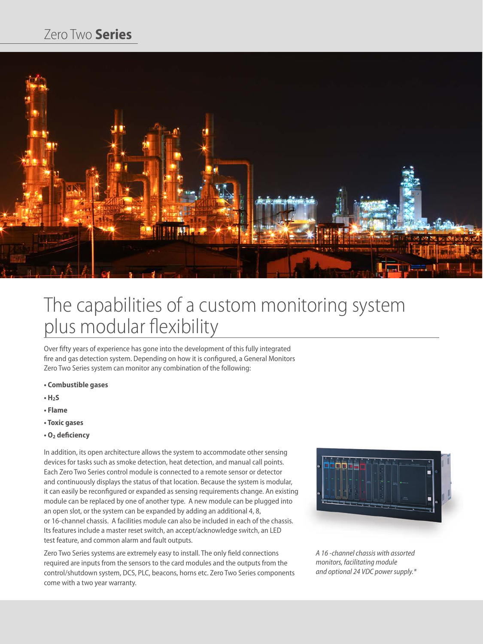## Zero Two **Series**



# The capabilities of a custom monitoring system plus modular flexibility

Over fifty years of experience has gone into the development of this fully integrated fire and gas detection system. Depending on how it is configured, a General Monitors Zero Two Series system can monitor any combination of the following:

- **Combustible gases**
- **H2S**
- **Flame**
- **Toxic gases**
- **O2 deficiency**

In addition, its open architecture allows the system to accommodate other sensing devices for tasks such as smoke detection, heat detection, and manual call points. Each Zero Two Series control module is connected to a remote sensor or detector and continuously displays the status of that location. Because the system is modular, it can easily be reconfigured or expanded as sensing requirements change. An existing module can be replaced by one of another type. A new module can be plugged into an open slot, or the system can be expanded by adding an additional 4, 8, or 16-channel chassis. A facilities module can also be included in each of the chassis. Its features include a master reset switch, an accept/acknowledge switch, an LED test feature, and common alarm and fault outputs.

Zero Two Series systems are extremely easy to install. The only field connections required are inputs from the sensors to the card modules and the outputs from the control/shutdown system, DCS, PLC, beacons, horns etc. Zero Two Series components come with a two year warranty.



*A 16 -channel chassis with assorted monitors, facilitating module and optional 24 VDC power supply.\**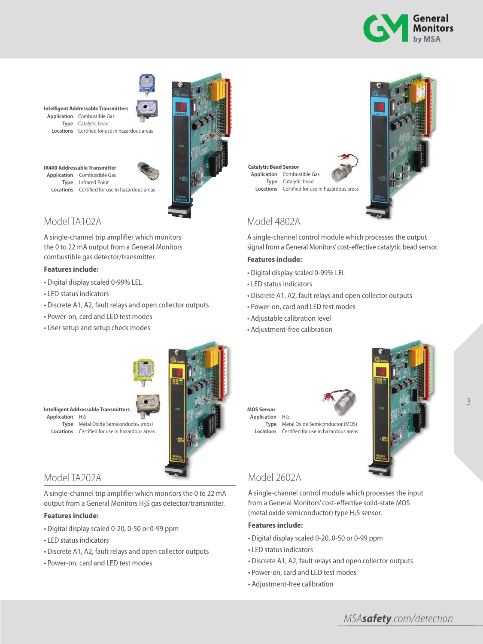



**Intelligent Addressable Transmitters Application** Combustible Gas **Type** Catalytic bead



**IR400 Addressable Transmitter Application** Combustible Gas **Type** Infrared Point



Model TA102A

A single-channel trip amplifier which monitors the 0 to 22 mA output from a General Monitors combustible gas detector/transmitter.

#### **Features include:**

- Digital display scaled 0-99% LEL
- LED status indicators
- Discrete A1, A2, fault relays and open collector outputs
- Power-on, card and LED test modes
- User setup and setup check modes





## Model 4802A

**Catalytic Bead Sensor Application** Combustible Gas **Type** Catalytic bead

A single-channel control module which processes the output signal from a General Monitors' cost-effective catalytic bead sensor.

#### **Features include:**

- Digital display scaled 0-99% LEL
- LED status indicators
- Discrete A1, A2, fault relays and open collector outputs
- Power-on, card and LED test modes
- Adjustable calibration level
- Adjustment-free calibration





## Model TA202A

A single-channel trip amplifier which monitors the 0 to 22 mA output from a General Monitors H2S gas detector/transmitter.

#### **Features include:**

- Digital display scaled 0-20, 0-50 or 0-99 ppm
- LED status indicators
- Discrete A1, A2, fault relays and open collector outputs
- Power-on, card and LED test modes



**Application** H<sub>2</sub>S  **Type** Metal Oxide Semiconductor (MOS)  **Locations** Certified for use in hazardous areas

## Model 2602A

**MOS Sensor**

A single-channel control module which processes the input from a General Monitors' cost-effective solid-state MOS (metal oxide semiconductor) type  $H_2S$  sensor.

#### **Features include:**

- Digital display scaled 0-20, 0-50 or 0-99 ppm
- LED status indicators
- Discrete A1, A2, fault relays and open collector outputs
- Power-on, card and LED test modes
- Adjustment-free calibration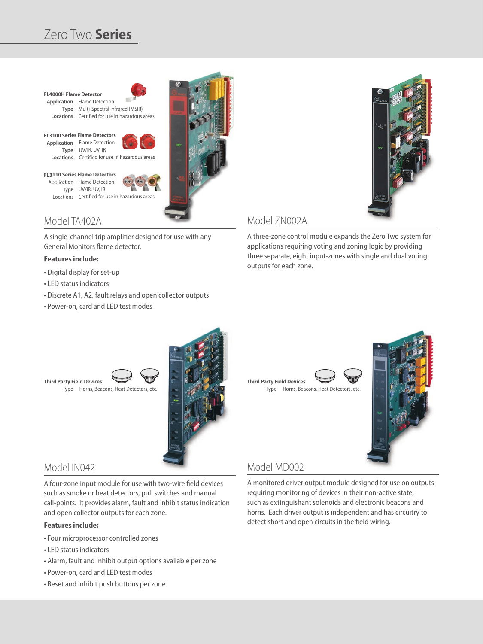## Zero Two **Series**

 **Type** Multi-Spectral Infrared (MSIR)



**FL3100 Series Flame Detectors Application** Flame Detection  **Type** UV/IR, UV, IR  **Locations** Certified for use in hazardous areas

**FL4000H Flame Detector Application** Flame Detection



 Application Flame Detection Type UV/IR, UV, IR Locations Certified for use in hazardous areas

## Model TA402A

A single-channel trip amplifier designed for use with any General Monitors flame detector.

#### **Features include:**

- Digital display for set-up
- LED status indicators
- Discrete A1, A2, fault relays and open collector outputs
- Power-on, card and LED test modes



## Model ZN002A

A three-zone control module expands the Zero Two system for applications requiring voting and zoning logic by providing three separate, eight input-zones with single and dual voting outputs for each zone.



#### Model IN042

A four-zone input module for use with two-wire field devices such as smoke or heat detectors, pull switches and manual call-points. It provides alarm, fault and inhibit status indication and open collector outputs for each zone.

#### **Features include:**

- Four microprocessor controlled zones
- LED status indicators
- Alarm, fault and inhibit output options available per zone
- Power-on, card and LED test modes
- Reset and inhibit push buttons per zone



## Model MD002

A monitored driver output module designed for use on outputs requiring monitoring of devices in their non-active state, such as extinguishant solenoids and electronic beacons and horns. Each driver output is independent and has circuitry to detect short and open circuits in the field wiring.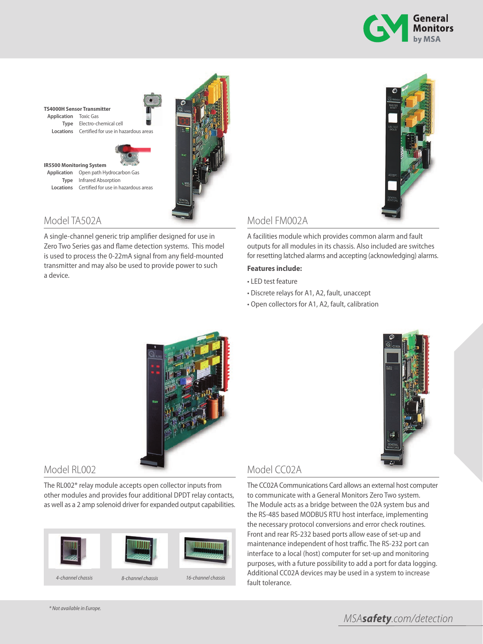



## Model TA502A

A single-channel generic trip amplifier designed for use in Zero Two Series gas and flame detection systems. This model is used to process the 0-22mA signal from any field-mounted transmitter and may also be used to provide power to such a device.



## Model FM002A

A facilities module which provides common alarm and fault outputs for all modules in its chassis. Also included are switches for resetting latched alarms and accepting (acknowledging) alarms. **Features include:**

- LED test feature
- Discrete relays for A1, A2, fault, unaccept
- Open collectors for A1, A2, fault, calibration



## Model RL002

The RL002\* relay module accepts open collector inputs from other modules and provides four additional DPDT relay contacts, as well as a 2 amp solenoid driver for expanded output capabilities.



## Model CC02A

The CC02A Communications Card allows an external host computer to communicate with a General Monitors Zero Two system. The Module acts as a bridge between the 02A system bus and the RS-485 based MODBUS RTU host interface, implementing the necessary protocol conversions and error check routines. Front and rear RS-232 based ports allow ease of set-up and maintenance independent of host traffic. The RS-232 port can interface to a local (host) computer for set-up and monitoring purposes, with a future possibility to add a port for data logging. Additional CC02A devices may be used in a system to increase fault tolerance.